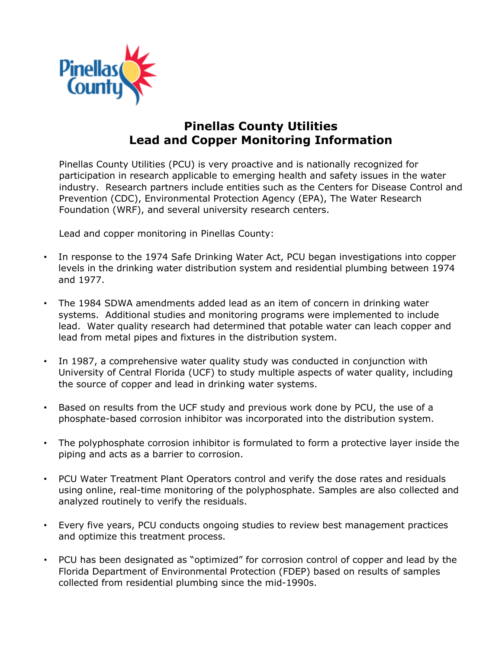

## **Pinellas County Utilities Lead and Copper Monitoring Information**

Pinellas County Utilities (PCU) is very proactive and is nationally recognized for participation in research applicable to emerging health and safety issues in the water industry. Research partners include entities such as the Centers for Disease Control and Prevention (CDC), Environmental Protection Agency (EPA), The Water Research Foundation (WRF), and several university research centers.

Lead and copper monitoring in Pinellas County:

- In response to the 1974 Safe Drinking Water Act, PCU began investigations into copper levels in the drinking water distribution system and residential plumbing between 1974 and 1977.
- The 1984 SDWA amendments added lead as an item of concern in drinking water systems. Additional studies and monitoring programs were implemented to include lead. Water quality research had determined that potable water can leach copper and lead from metal pipes and fixtures in the distribution system.
- In 1987, a comprehensive water quality study was conducted in conjunction with University of Central Florida (UCF) to study multiple aspects of water quality, including the source of copper and lead in drinking water systems.
- Based on results from the UCF study and previous work done by PCU, the use of a phosphate-based corrosion inhibitor was incorporated into the distribution system.
- The polyphosphate corrosion inhibitor is formulated to form a protective layer inside the piping and acts as a barrier to corrosion.
- PCU Water Treatment Plant Operators control and verify the dose rates and residuals using online, real-time monitoring of the polyphosphate. Samples are also collected and analyzed routinely to verify the residuals.
- Every five years, PCU conducts ongoing studies to review best management practices and optimize this treatment process.
- PCU has been designated as "optimized" for corrosion control of copper and lead by the Florida Department of Environmental Protection (FDEP) based on results of samples collected from residential plumbing since the mid-1990s.